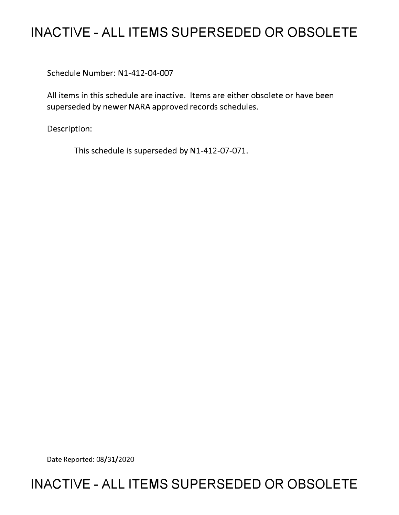## **INACTIVE - ALL ITEMS SUPERSEDED OR OBSOLETE**

Schedule Number: Nl-412-04-007

All items in this schedule are inactive. Items are either obsolete or have been superseded by newer NARA approved records schedules.

Description:

This schedule is superseded by N1-412-07-071.

Date Reported: 08/31/2020

## **INACTIVE - ALL ITEMS SUPERSEDED OR OBSOLETE**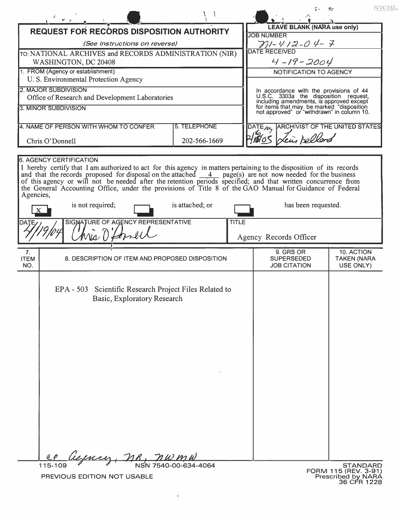|                                                                                   |               |                                                                                                                                                                                                                                                                                                                                                                                                                                                                             |                      |              |                                                                                                                                     | NWML                                    |  |
|-----------------------------------------------------------------------------------|---------------|-----------------------------------------------------------------------------------------------------------------------------------------------------------------------------------------------------------------------------------------------------------------------------------------------------------------------------------------------------------------------------------------------------------------------------------------------------------------------------|----------------------|--------------|-------------------------------------------------------------------------------------------------------------------------------------|-----------------------------------------|--|
|                                                                                   | $\mathcal{L}$ |                                                                                                                                                                                                                                                                                                                                                                                                                                                                             |                      |              |                                                                                                                                     |                                         |  |
|                                                                                   |               |                                                                                                                                                                                                                                                                                                                                                                                                                                                                             |                      |              | <b>LEAVE BLANK (NARA use only)</b>                                                                                                  |                                         |  |
| <b>REQUEST FOR RECORDS DISPOSITION AUTHORITY</b><br>(See Instructions on reverse) |               |                                                                                                                                                                                                                                                                                                                                                                                                                                                                             |                      |              | <b>JOB NUMBER</b>                                                                                                                   |                                         |  |
| TO: NATIONAL ARCHIVES and RECORDS ADMINISTRATION (NIR)                            |               |                                                                                                                                                                                                                                                                                                                                                                                                                                                                             |                      |              | $\frac{\gamma}{\beta}$ //- $\frac{\gamma}{\beta}$ / 2 - 0 $\frac{\gamma}{\beta}$ - 7                                                |                                         |  |
| WASHINGTON, DC 20408                                                              |               |                                                                                                                                                                                                                                                                                                                                                                                                                                                                             |                      |              | $4 - 19 - 2004$                                                                                                                     |                                         |  |
| 1. FROM (Agency or establishment)                                                 |               |                                                                                                                                                                                                                                                                                                                                                                                                                                                                             |                      |              | NOTIFICATION TO AGENCY                                                                                                              |                                         |  |
| U. S. Environmental Protection Agency                                             |               |                                                                                                                                                                                                                                                                                                                                                                                                                                                                             |                      |              |                                                                                                                                     |                                         |  |
| <b>2. MAJOR SUBDIVISION</b>                                                       |               |                                                                                                                                                                                                                                                                                                                                                                                                                                                                             |                      |              | In accordance with the provisions of 44<br>U.S.C. 3303a the disposition request,                                                    |                                         |  |
| Office of Research and Development Laboratories                                   |               |                                                                                                                                                                                                                                                                                                                                                                                                                                                                             |                      |              | including amendments, is approved except<br>for items that may be marked "disposition<br>not approved" or "withdrawn" in column 10. |                                         |  |
| 3. MINOR SUBDIVISION                                                              |               |                                                                                                                                                                                                                                                                                                                                                                                                                                                                             |                      |              |                                                                                                                                     |                                         |  |
|                                                                                   |               |                                                                                                                                                                                                                                                                                                                                                                                                                                                                             |                      |              |                                                                                                                                     |                                         |  |
| 5. TELEPHONE<br>4. NAME OF PERSON WITH WHOM TO CONFER                             |               |                                                                                                                                                                                                                                                                                                                                                                                                                                                                             |                      |              | DATE M, ARCHIVIST OF THE UNITED STATES                                                                                              |                                         |  |
| Chris O'Donnell<br>202-566-1669                                                   |               |                                                                                                                                                                                                                                                                                                                                                                                                                                                                             |                      |              | ein bellard                                                                                                                         |                                         |  |
|                                                                                   |               |                                                                                                                                                                                                                                                                                                                                                                                                                                                                             |                      |              |                                                                                                                                     |                                         |  |
| Agencies,                                                                         |               | I hereby certify that I am authorized to act for this agency in matters pertaining to the disposition of its records<br>and that the records proposed for disposal on the attached $\frac{4}{\text{page}}$ page(s) are not now needed for the business of this agency or will not be needed after the retention periods specified; and that written concurrence<br>the General Accounting Office, under the provisions of Title 8 of the GAO Manual for Guidance of Federal |                      |              |                                                                                                                                     |                                         |  |
| is not required;<br>is attached; or                                               |               |                                                                                                                                                                                                                                                                                                                                                                                                                                                                             |                      |              | has been requested.                                                                                                                 |                                         |  |
| DATE                                                                              |               | SIGNATURE OF AGENCY REPRESENTATIVE<br>ria n                                                                                                                                                                                                                                                                                                                                                                                                                                 |                      | <b>TITLE</b> | Agency Records Officer                                                                                                              |                                         |  |
| 7.                                                                                |               |                                                                                                                                                                                                                                                                                                                                                                                                                                                                             |                      |              | 9. GRS OR                                                                                                                           | 10. ACTION                              |  |
| <b>ITEM</b>                                                                       |               | 8. DESCRIPTION OF ITEM AND PROPOSED DISPOSITION                                                                                                                                                                                                                                                                                                                                                                                                                             |                      |              | <b>SUPERSEDED</b>                                                                                                                   | <b>TAKEN (NARA</b>                      |  |
| NO.                                                                               |               |                                                                                                                                                                                                                                                                                                                                                                                                                                                                             |                      |              | <b>JOB CITATION</b>                                                                                                                 | USE ONLY)                               |  |
|                                                                                   |               | EPA - 503 Scientific Research Project Files Related to<br>Basic, Exploratory Research                                                                                                                                                                                                                                                                                                                                                                                       |                      |              |                                                                                                                                     |                                         |  |
|                                                                                   |               | ieman,<br>$n_{\kappa}$                                                                                                                                                                                                                                                                                                                                                                                                                                                      |                      |              |                                                                                                                                     |                                         |  |
|                                                                                   | 115-109       |                                                                                                                                                                                                                                                                                                                                                                                                                                                                             | NSN 7540-00-634-4064 |              |                                                                                                                                     | <b>STANDARD</b><br>FORM 115 (REV. 3-91) |  |
|                                                                                   |               | PREVIOUS EDITION NOT USABLE                                                                                                                                                                                                                                                                                                                                                                                                                                                 |                      |              |                                                                                                                                     | Prescribed by NARA                      |  |

 $\ddot{\bullet}$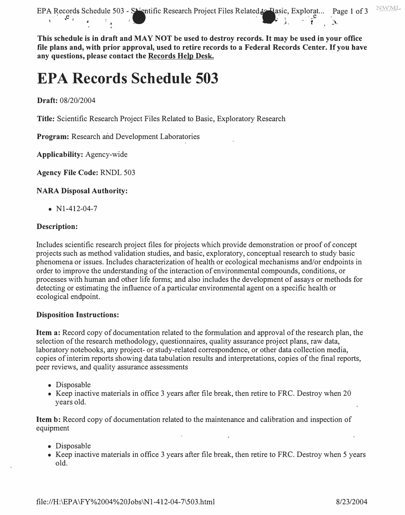

**This schedule is in draft and MAY NOT be used to destroy records. It may be used in your office file plans and, with prior approval, used to retire records to a Federal Records Center. If you have any questions, please contact the Records Helg Desk.** 

# **EPA Records Schedule 503**

**Draft:** 08/20/2004

**Title:** Scientific Research Project Files Related to Basic, Exploratory Research

**Program:** Research and Development Laboratories

**Applicability:** Agency-wide

**Agency File Code:** RNDL 503

**NARA Disposal Authority:** 

•  $N1-412-04-7$ 

## **Description:**

Includes scientific research project files for projects which provide demonstration or proof of concept projects such as method validation studies, and basic, exploratory, conceptual research to study basic phenomena or issues. Includes characterization of health or ecological mechanisms and/or endpoints in order to improve the understanding of the interaction of environmental compounds, conditions, or processes with human and other life forms; and also includes the development of assays or methods for detecting or estimating the influence of a particular environmental agent on a specific health or ecological endpoint.

## **Disposition Instructions:**

**Item a:** Record copy of documentation related to the formulation and approval of the research plan, the selection of the research methodology, questionnaires, quality assurance project plans, raw data, laboratory notebooks, any project- or study-related correspondence, or other data collection media, copies of interim reports showing data tabulation results and interpretations, copies of the final reports, peer reviews, and quality assurance assessments

- Disposable
- Keep inactive materials in office 3 years after file break, then retire to FRC. Destroy when 20 years old.

**Item b:** Record copy of documentation related to the maintenance and calibration and inspection of equipment

- Disposable
- Keep inactive materials in office 3 years after file break, then retire to FRC. Destroy when 5 years old.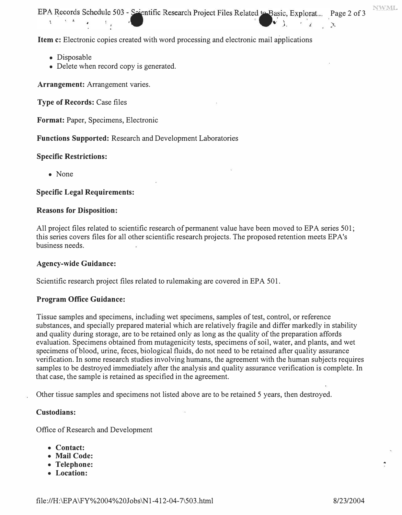EPA Records Schedule 503 - Saientific Research Project Files Related to Basic, Explorat... Page 2 of 3  $\mathbf{1}$   $\mathbf{1}$ 

**Item c:** Electronic copies created with word processing and electronic mail applications

- Disposable
- Delete when record copy is generated.

**Arrangement:** Arrangement varies.

**Type of Records:** Case files

**Format:** Paper, Specimens, Electronic

**Functions Supported:** Research and Development Laboratories

## **Specific Restrictions:**

• None

## **Specific Legal Requirements:**

## **Reasons for Disposition:**

All project files related to scientific research of permanent value have been moved to EPA series 501; this series covers files for all other scientific research projects. The proposed retention meets EPA's business needs.

## **Agency-wide Guidance:**

Scientific research project files related to rulemaking are covered in EPA 501.

## **Program Office Guidance:**

Tissue samples and specimens, including wet specimens, samples of test, control, or reference substances, and specially prepared material which are relatively fragile and differ markedly in stability and quality during storage, are to be retained only as long as the quality of the preparation affords evaluation. Specimens obtained from mutagenicity tests, specimens of soil, water, and plants, and wet specimens of blood, urine, feces, biological fluids, do not need to be retained after quality assurance verification. In some research studies involving humans, the agreement with the human subjects requires samples to be destroyed immediately after the analysis and quality assurance verification is complete. In that case, the sample is retained as specified in the agreement.

Other tissue samples and specimens not listed above are to be retained 5 years, then destroyed.

## **Custodians:**

Office of Research and Development

- **Contact:**
- **Mail Code:** ..  **Telephone:**
- 
- **Location:**

NWML